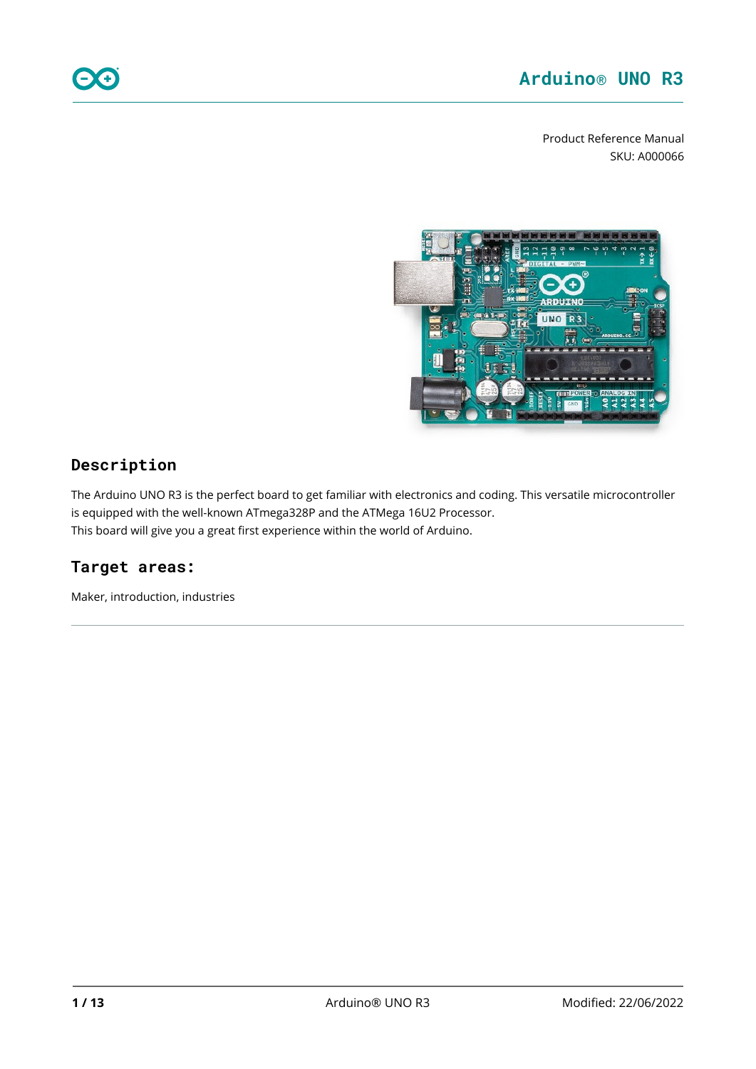Product Reference Manual SKU: A000066



## **Description**

The Arduino UNO R3 is the perfect board to get familiar with electronics and coding. This versatile microcontroller is equipped with the well-known ATmega328P and the ATMega 16U2 Processor. This board will give you a great first experience within the world of Arduino.

# **Target areas:**

Maker, introduction, industries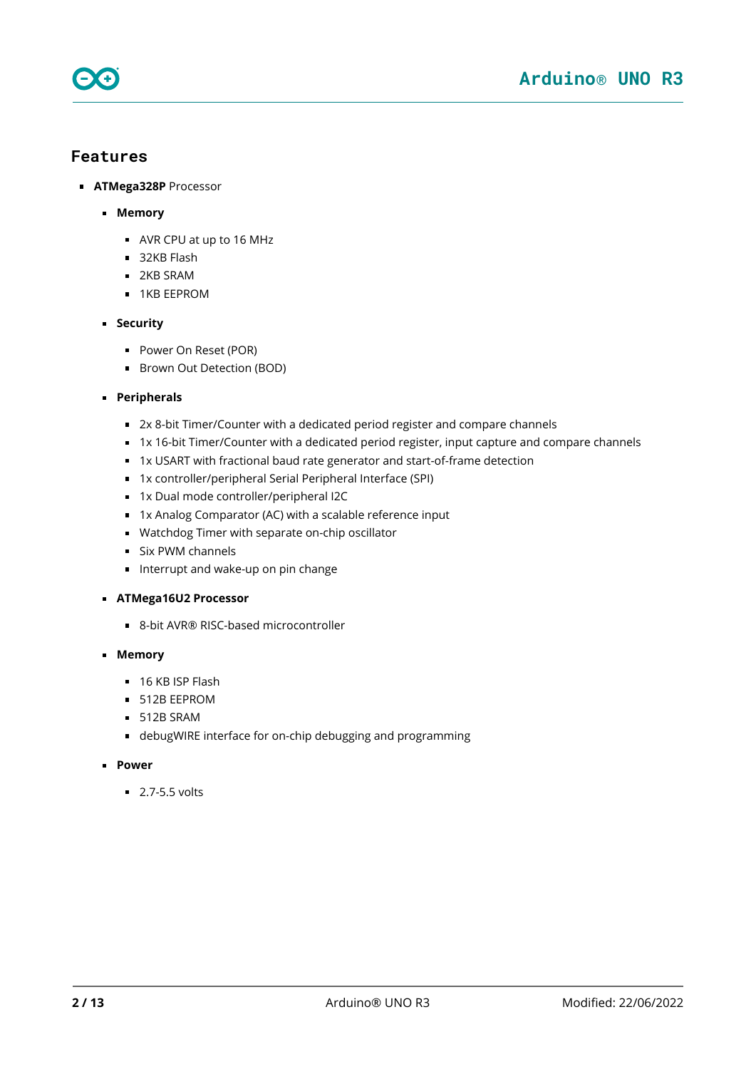

### **Features**

- **ATMega328P** Processor
	- **Memory**
		- AVR CPU at up to 16 MHz
		- 32KB Flash
		- **2KB SRAM**
		- **1KB EEPROM**
	- **Security** 
		- **Power On Reset (POR)**
		- **Brown Out Detection (BOD)**
	- **Peripherals**
		- 2x 8-bit Timer/Counter with a dedicated period register and compare channels
		- 1x 16-bit Timer/Counter with a dedicated period register, input capture and compare channels
		- 1x USART with fractional baud rate generator and start-of-frame detection
		- 1x controller/peripheral Serial Peripheral Interface (SPI)
		- 1x Dual mode controller/peripheral I2C
		- 1x Analog Comparator (AC) with a scalable reference input
		- Watchdog Timer with separate on-chip oscillator
		- **Six PWM channels**
		- Interrupt and wake-up on pin change
	- **ATMega16U2 Processor**
		- 8-bit AVR® RISC-based microcontroller
	- **Memory**
		- $\blacksquare$  16 KB ISP Flash
		- **512B EEPROM**
		- $-512B$  SRAM
		- debugWIRE interface for on-chip debugging and programming
	- **Power** 
		- $\overline{2.7-5.5}$  volts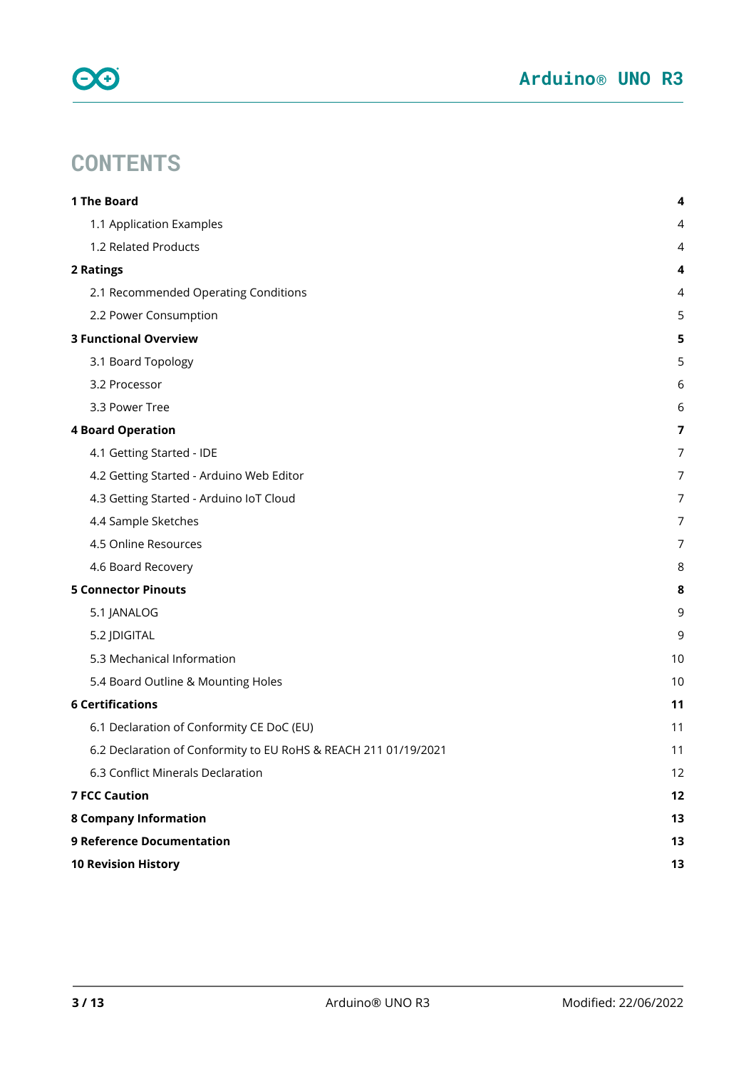

# **CONTENTS**

| 1 The Board                                                     | 4              |
|-----------------------------------------------------------------|----------------|
| 1.1 Application Examples                                        | 4              |
| 1.2 Related Products                                            | 4              |
| 2 Ratings                                                       | 4              |
| 2.1 Recommended Operating Conditions                            | 4              |
| 2.2 Power Consumption                                           | 5              |
| <b>3 Functional Overview</b>                                    | 5              |
| 3.1 Board Topology                                              | 5              |
| 3.2 Processor                                                   | 6              |
| 3.3 Power Tree                                                  | 6              |
| <b>4 Board Operation</b>                                        | $\overline{7}$ |
| 4.1 Getting Started - IDE                                       | 7              |
| 4.2 Getting Started - Arduino Web Editor                        | 7              |
| 4.3 Getting Started - Arduino IoT Cloud                         | 7              |
| 4.4 Sample Sketches                                             | 7              |
| 4.5 Online Resources                                            | 7              |
| 4.6 Board Recovery                                              | 8              |
| <b>5 Connector Pinouts</b>                                      | 8              |
| 5.1 JANALOG                                                     | 9              |
| 5.2 JDIGITAL                                                    | 9              |
| 5.3 Mechanical Information                                      | 10             |
| 5.4 Board Outline & Mounting Holes                              | 10             |
| <b>6 Certifications</b>                                         | 11             |
| 6.1 Declaration of Conformity CE DoC (EU)                       | 11             |
| 6.2 Declaration of Conformity to EU RoHS & REACH 211 01/19/2021 | 11             |
| 6.3 Conflict Minerals Declaration                               | 12             |
| <b>7 FCC Caution</b>                                            | 12             |
| <b>8 Company Information</b>                                    | 13             |
| <b>9 Reference Documentation</b>                                | 13             |
| <b>10 Revision History</b>                                      | 13             |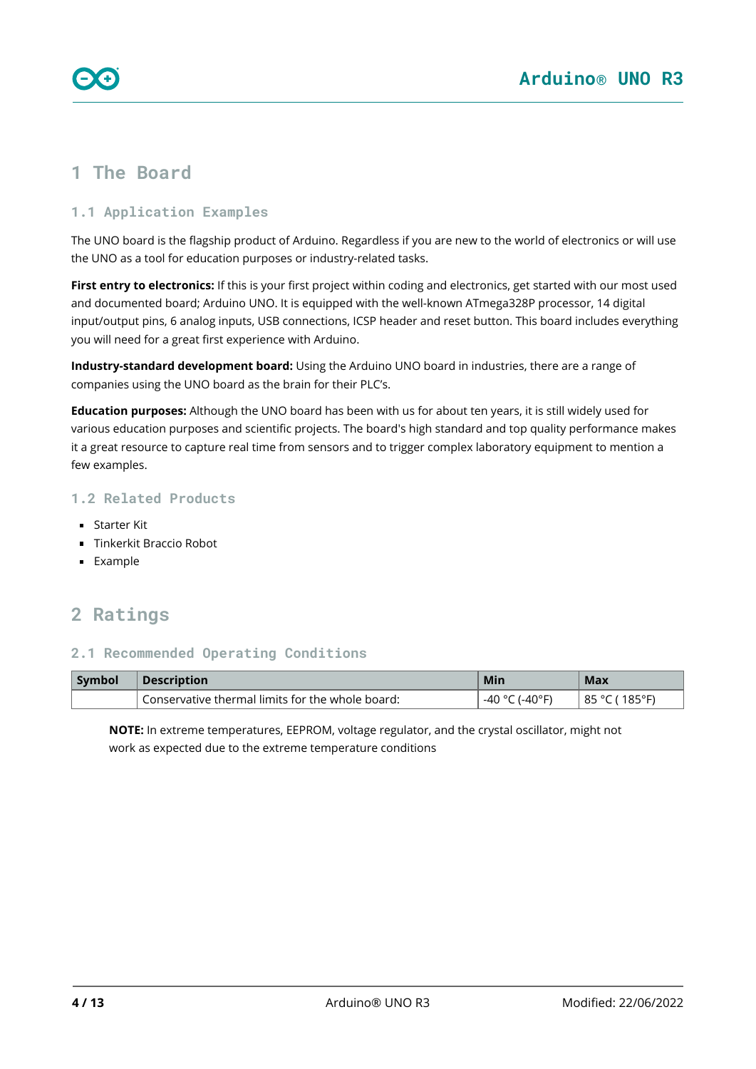# <span id="page-3-0"></span>**1 The Board**

### <span id="page-3-1"></span>**1.1 Application Examples**

The UNO board is the flagship product of Arduino. Regardless if you are new to the world of electronics or will use the UNO as a tool for education purposes or industry-related tasks.

**First entry to electronics:** If this is your first project within coding and electronics, get started with our most used and documented board; Arduino UNO. It is equipped with the well-known ATmega328P processor, 14 digital input/output pins, 6 analog inputs, USB connections, ICSP header and reset button. This board includes everything you will need for a great first experience with Arduino.

**Industry-standard development board:** Using the Arduino UNO board in industries, there are a range of companies using the UNO board as the brain for their PLC's.

**Education purposes:** Although the UNO board has been with us for about ten years, it is still widely used for various education purposes and scientific projects. The board's high standard and top quality performance makes it a great resource to capture real time from sensors and to trigger complex laboratory equipment to mention a few examples.

### <span id="page-3-2"></span>**1.2 Related Products**

- Starter Kit
- **Tinkerkit Braccio Robot**
- **Example**

# <span id="page-3-3"></span>**2 Ratings**

#### <span id="page-3-4"></span>**2.1 Recommended Operating Conditions**

| Symbol | <b>Description</b>                               | Min                 | Max                         |
|--------|--------------------------------------------------|---------------------|-----------------------------|
|        | Conservative thermal limits for the whole board: | .-40°F)<br>. -40 °C | $185^{\circ}$ F)<br>85 °C ( |

**NOTE:** In extreme temperatures, EEPROM, voltage regulator, and the crystal oscillator, might not work as expected due to the extreme temperature conditions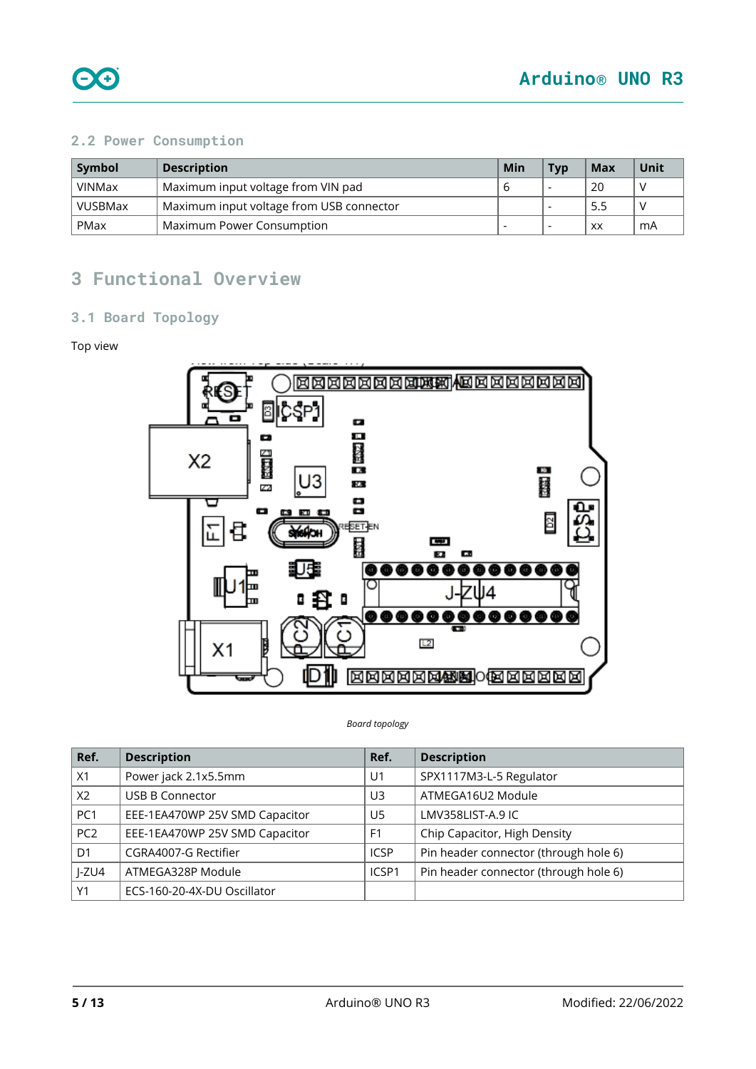

### <span id="page-4-0"></span>**2.2 Power Consumption**

| Symbol        | <b>Description</b>                              | Min | <b>T</b> vp | Max | Unit |
|---------------|-------------------------------------------------|-----|-------------|-----|------|
| <b>VINMax</b> | Maximum input voltage from VIN pad              |     |             | 20  |      |
| VUSBMax       | 5.5<br>Maximum input voltage from USB connector |     |             |     |      |
| PMax          | Maximum Power Consumption                       |     |             | XX  | mA   |

# <span id="page-4-1"></span>**3 Functional Overview**

### <span id="page-4-2"></span>**3.1 Board Topology**

#### Top view



#### *Board topology*

| Ref.            | <b>Description</b>             | Ref.           | <b>Description</b>                    |
|-----------------|--------------------------------|----------------|---------------------------------------|
| X1              | Power jack 2.1x5.5mm           | U <sub>1</sub> | SPX1117M3-L-5 Regulator               |
| X2              | <b>USB B Connector</b>         | U3             | ATMEGA16U2 Module                     |
| PC1             | EEE-1EA470WP 25V SMD Capacitor | U5             | LMV358LIST-A.9 IC                     |
| PC <sub>2</sub> | EEE-1EA470WP 25V SMD Capacitor | F <sub>1</sub> | Chip Capacitor, High Density          |
| D <sub>1</sub>  | CGRA4007-G Rectifier           | <b>ICSP</b>    | Pin header connector (through hole 6) |
| $I-ZU4$         | ATMEGA328P Module              | ICSP1          | Pin header connector (through hole 6) |
| Y1              | ECS-160-20-4X-DU Oscillator    |                |                                       |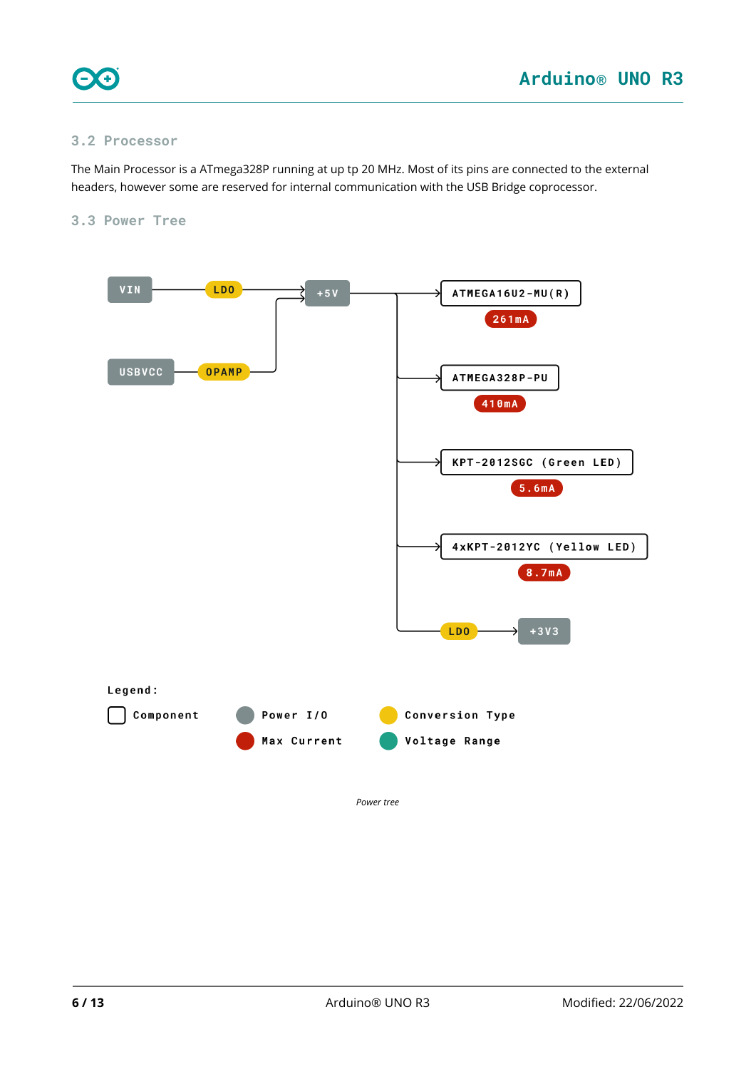

#### <span id="page-5-0"></span>**3.2 Processor**

The Main Processor is a ATmega328P running at up tp 20 MHz. Most of its pins are connected to the external headers, however some are reserved for internal communication with the USB Bridge coprocessor.

#### <span id="page-5-1"></span>**3.3 Power Tree**

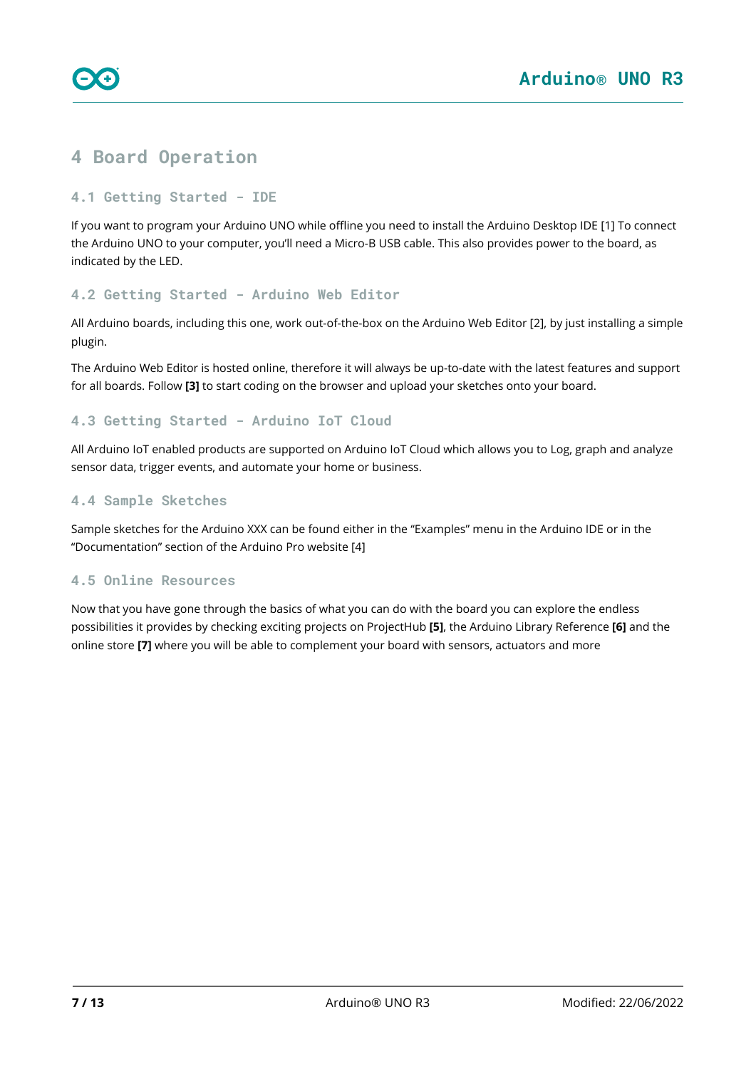

# <span id="page-6-0"></span>**4 Board Operation**

#### <span id="page-6-1"></span>**4.1 Getting Started - IDE**

If you want to program your Arduino UNO while offline you need to install the Arduino Desktop IDE [1] To connect the Arduino UNO to your computer, you'll need a Micro-B USB cable. This also provides power to the board, as indicated by the LED.

#### <span id="page-6-2"></span>**4.2 Getting Started - Arduino Web Editor**

All Arduino boards, including this one, work out-of-the-box on the Arduino Web Editor [2], by just installing a simple plugin.

The Arduino Web Editor is hosted online, therefore it will always be up-to-date with the latest features and support for all boards. Follow **[3]** to start coding on the browser and upload your sketches onto your board.

### <span id="page-6-3"></span>**4.3 Getting Started - Arduino IoT Cloud**

All Arduino IoT enabled products are supported on Arduino IoT Cloud which allows you to Log, graph and analyze sensor data, trigger events, and automate your home or business.

#### <span id="page-6-4"></span>**4.4 Sample Sketches**

Sample sketches for the Arduino XXX can be found either in the "Examples" menu in the Arduino IDE or in the "Documentation" section of the Arduino Pro website [4]

### <span id="page-6-5"></span>**4.5 Online Resources**

Now that you have gone through the basics of what you can do with the board you can explore the endless possibilities it provides by checking exciting projects on ProjectHub **[5]**, the Arduino Library Reference **[6]** and the online store **[7]** where you will be able to complement your board with sensors, actuators and more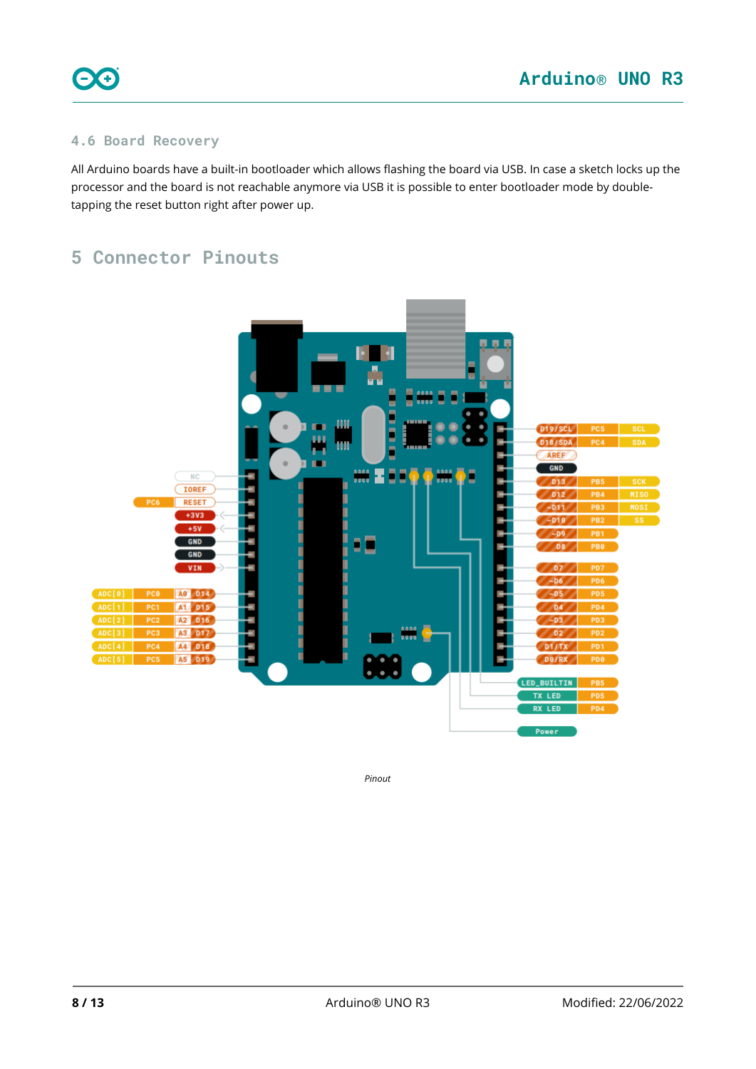

### <span id="page-7-0"></span>**4.6 Board Recovery**

All Arduino boards have a built-in bootloader which allows flashing the board via USB. In case a sketch locks up the processor and the board is not reachable anymore via USB it is possible to enter bootloader mode by doubletapping the reset button right after power up.

# <span id="page-7-1"></span>**5 Connector Pinouts**



*Pinout*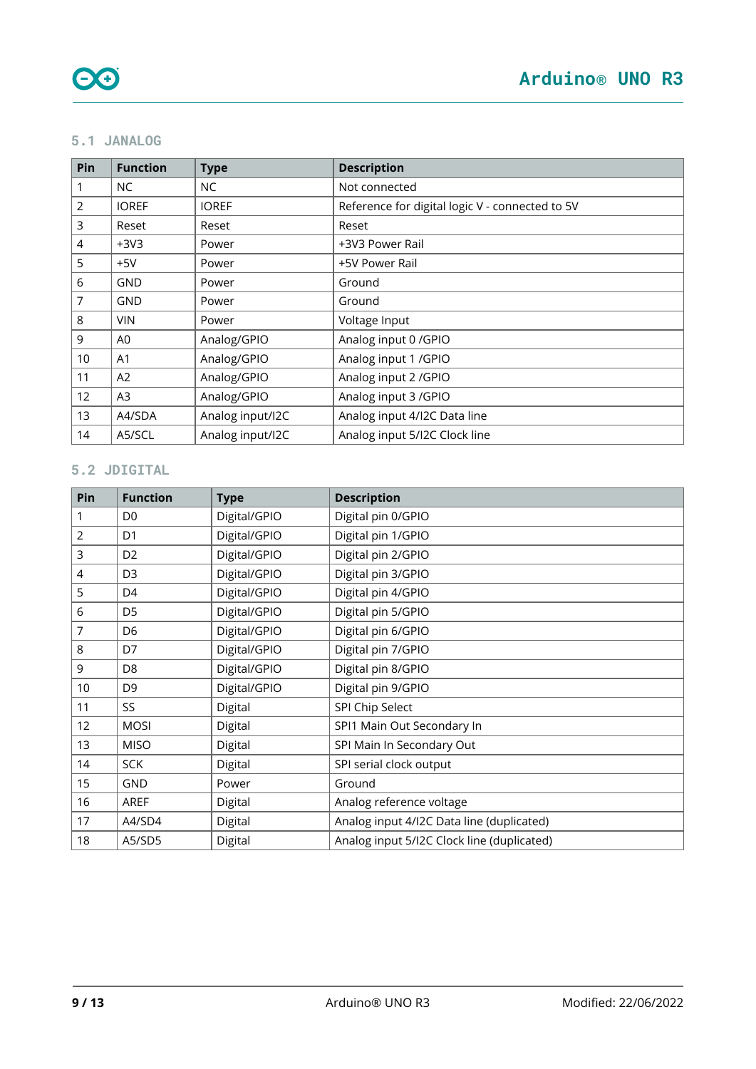### <span id="page-8-0"></span>**5.1 JANALOG**

| Pin            | <b>Function</b> | <b>Type</b>      | <b>Description</b>                              |
|----------------|-----------------|------------------|-------------------------------------------------|
|                | NC.             | NC               | Not connected                                   |
| $\overline{2}$ | <b>IOREF</b>    | <b>IOREF</b>     | Reference for digital logic V - connected to 5V |
| 3              | Reset           | Reset            | Reset                                           |
| $\overline{4}$ | $+3V3$          | Power            | +3V3 Power Rail                                 |
| 5              | $+5V$           | Power            | +5V Power Rail                                  |
| 6              | GND             | Power            | Ground                                          |
| $\overline{7}$ | <b>GND</b>      | Power            | Ground                                          |
| 8              | <b>VIN</b>      | Power            | Voltage Input                                   |
| 9              | A0              | Analog/GPIO      | Analog input 0 / GPIO                           |
| 10             | A1              | Analog/GPIO      | Analog input 1 / GPIO                           |
| 11             | A2              | Analog/GPIO      | Analog input 2 / GPIO                           |
| 12             | A <sub>3</sub>  | Analog/GPIO      | Analog input 3 / GPIO                           |
| 13             | A4/SDA          | Analog input/I2C | Analog input 4/I2C Data line                    |
| 14             | A5/SCL          | Analog input/I2C | Analog input 5/12C Clock line                   |

# <span id="page-8-1"></span>**5.2 JDIGITAL**

| Pin            | <b>Function</b> | <b>Type</b>  | <b>Description</b>                         |
|----------------|-----------------|--------------|--------------------------------------------|
| 1              | D <sub>0</sub>  | Digital/GPIO | Digital pin 0/GPIO                         |
| $\overline{2}$ | D <sub>1</sub>  | Digital/GPIO | Digital pin 1/GPIO                         |
| 3              | D <sub>2</sub>  | Digital/GPIO | Digital pin 2/GPIO                         |
| 4              | D <sub>3</sub>  | Digital/GPIO | Digital pin 3/GPIO                         |
| 5              | D <sub>4</sub>  | Digital/GPIO | Digital pin 4/GPIO                         |
| 6              | D <sub>5</sub>  | Digital/GPIO | Digital pin 5/GPIO                         |
| 7              | D <sub>6</sub>  | Digital/GPIO | Digital pin 6/GPIO                         |
| 8              | D7              | Digital/GPIO | Digital pin 7/GPIO                         |
| 9              | D <sub>8</sub>  | Digital/GPIO | Digital pin 8/GPIO                         |
| 10             | D <sub>9</sub>  | Digital/GPIO | Digital pin 9/GPIO                         |
| 11             | SS              | Digital      | SPI Chip Select                            |
| 12             | <b>MOSI</b>     | Digital      | SPI1 Main Out Secondary In                 |
| 13             | <b>MISO</b>     | Digital      | SPI Main In Secondary Out                  |
| 14             | <b>SCK</b>      | Digital      | SPI serial clock output                    |
| 15             | GND             | Power        | Ground                                     |
| 16             | <b>AREF</b>     | Digital      | Analog reference voltage                   |
| 17             | A4/SD4          | Digital      | Analog input 4/I2C Data line (duplicated)  |
| 18             | A5/SD5          | Digital      | Analog input 5/12C Clock line (duplicated) |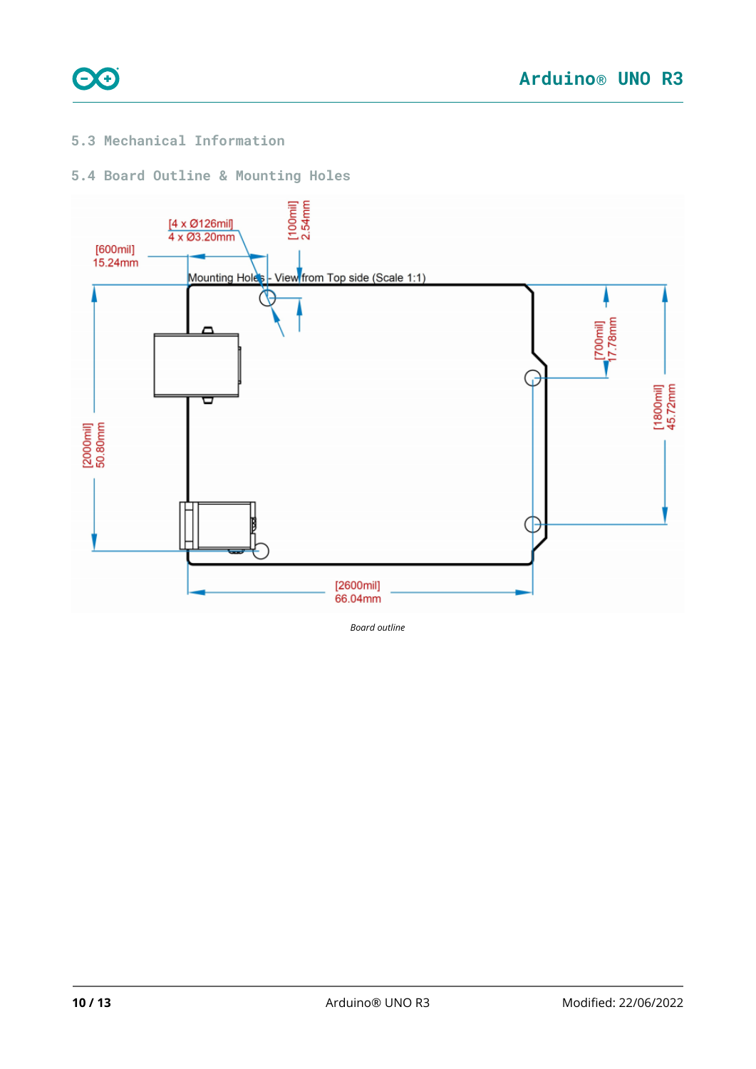

### <span id="page-9-0"></span>**5.3 Mechanical Information**

### <span id="page-9-1"></span>**5.4 Board Outline & Mounting Holes**



*Board outline*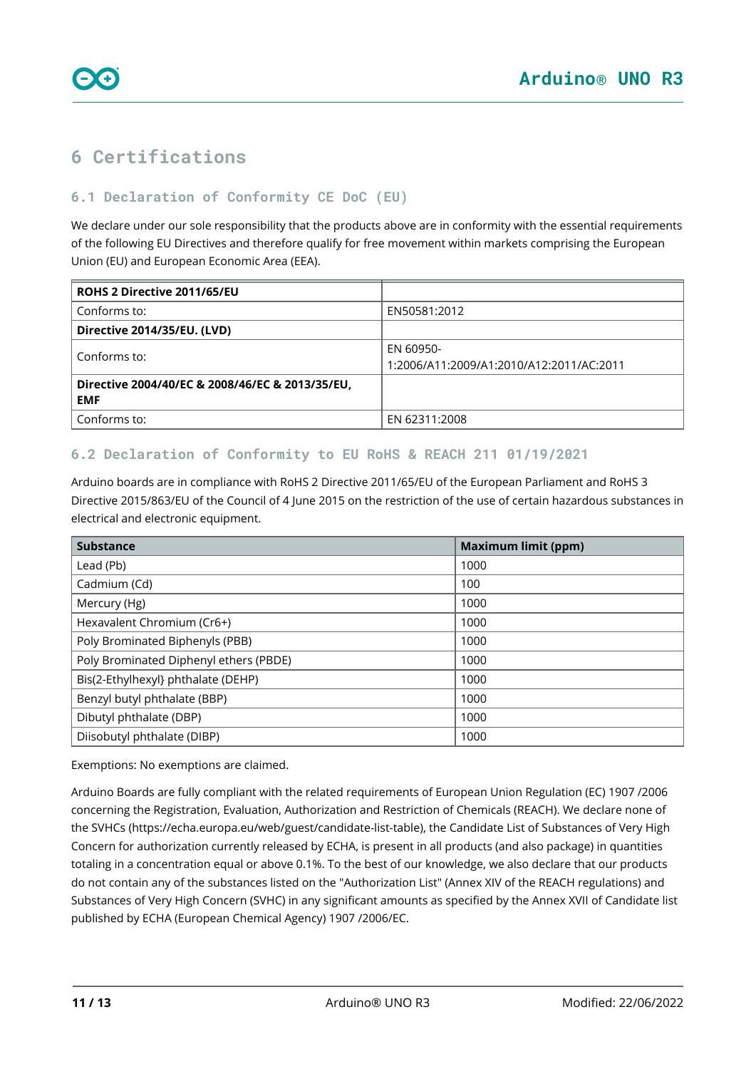<span id="page-10-0"></span>

### <span id="page-10-1"></span>**6.1 Declaration of Conformity CE DoC (EU)**

We declare under our sole responsibility that the products above are in conformity with the essential requirements of the following EU Directives and therefore qualify for free movement within markets comprising the European Union (EU) and European Economic Area (EEA).

| ROHS 2 Directive 2011/65/EU                                   |                                                       |
|---------------------------------------------------------------|-------------------------------------------------------|
| Conforms to:                                                  | EN50581:2012                                          |
| Directive 2014/35/EU. (LVD)                                   |                                                       |
| Conforms to:                                                  | EN 60950-<br>1:2006/A11:2009/A1:2010/A12:2011/AC:2011 |
| Directive 2004/40/EC & 2008/46/EC & 2013/35/EU,<br><b>EMF</b> |                                                       |
| Conforms to:                                                  | EN 62311:2008                                         |

### <span id="page-10-2"></span>**6.2 Declaration of Conformity to EU RoHS & REACH 211 01/19/2021**

Arduino boards are in compliance with RoHS 2 Directive 2011/65/EU of the European Parliament and RoHS 3 Directive 2015/863/EU of the Council of 4 June 2015 on the restriction of the use of certain hazardous substances in electrical and electronic equipment.

| <b>Substance</b>                       | <b>Maximum limit (ppm)</b> |
|----------------------------------------|----------------------------|
| Lead (Pb)                              | 1000                       |
| Cadmium (Cd)                           | 100                        |
| Mercury (Hg)                           | 1000                       |
| Hexavalent Chromium (Cr6+)             | 1000                       |
| Poly Brominated Biphenyls (PBB)        | 1000                       |
| Poly Brominated Diphenyl ethers (PBDE) | 1000                       |
| Bis(2-Ethylhexyl} phthalate (DEHP)     | 1000                       |
| Benzyl butyl phthalate (BBP)           | 1000                       |
| Dibutyl phthalate (DBP)                | 1000                       |
| Diisobutyl phthalate (DIBP)            | 1000                       |

Exemptions: No exemptions are claimed.

Arduino Boards are fully compliant with the related requirements of European Union Regulation (EC) 1907 /2006 concerning the Registration, Evaluation, Authorization and Restriction of Chemicals (REACH). We declare none of the SVHCs (<https://echa.europa.eu/web/guest/candidate-list-table>), the Candidate List of Substances of Very High Concern for authorization currently released by ECHA, is present in all products (and also package) in quantities totaling in a concentration equal or above 0.1%. To the best of our knowledge, we also declare that our products do not contain any of the substances listed on the "Authorization List" (Annex XIV of the REACH regulations) and Substances of Very High Concern (SVHC) in any significant amounts as specified by the Annex XVII of Candidate list published by ECHA (European Chemical Agency) 1907 /2006/EC.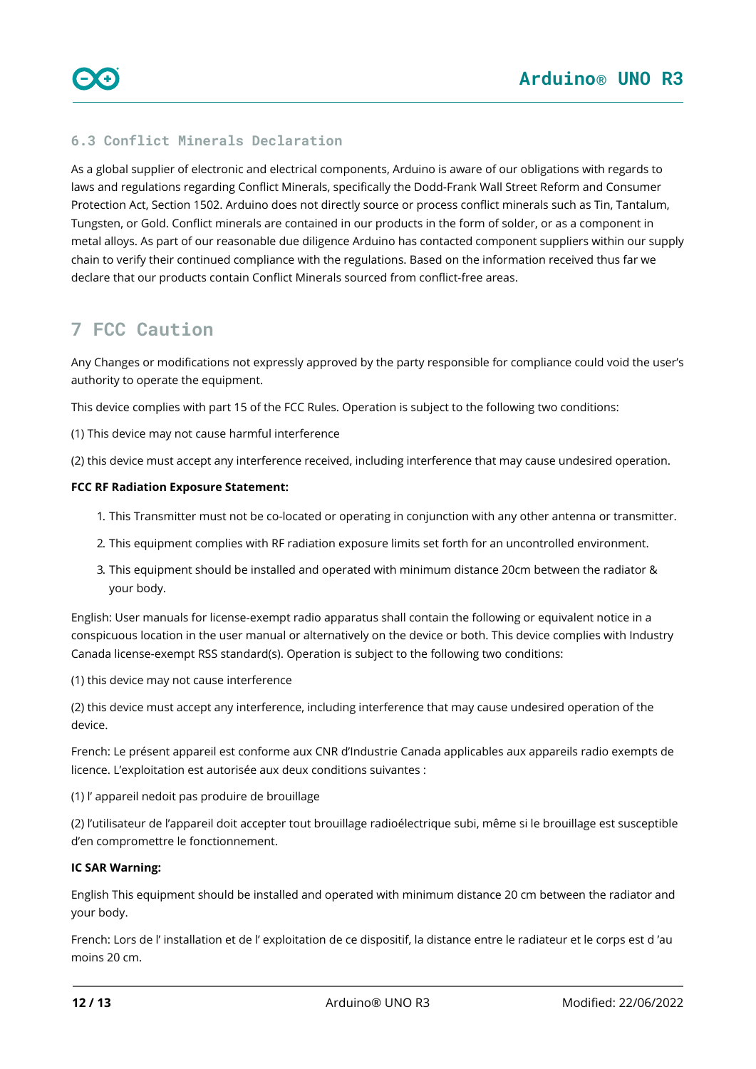### <span id="page-11-0"></span>**6.3 Conflict Minerals Declaration**

As a global supplier of electronic and electrical components, Arduino is aware of our obligations with regards to laws and regulations regarding Conflict Minerals, specifically the Dodd-Frank Wall Street Reform and Consumer Protection Act, Section 1502. Arduino does not directly source or process conflict minerals such as Tin, Tantalum, Tungsten, or Gold. Conflict minerals are contained in our products in the form of solder, or as a component in metal alloys. As part of our reasonable due diligence Arduino has contacted component suppliers within our supply chain to verify their continued compliance with the regulations. Based on the information received thus far we declare that our products contain Conflict Minerals sourced from conflict-free areas.

## <span id="page-11-1"></span>**7 FCC Caution**

Any Changes or modifications not expressly approved by the party responsible for compliance could void the user's authority to operate the equipment.

This device complies with part 15 of the FCC Rules. Operation is subject to the following two conditions:

(1) This device may not cause harmful interference

(2) this device must accept any interference received, including interference that may cause undesired operation.

#### **FCC RF Radiation Exposure Statement:**

- 1. This Transmitter must not be co-located or operating in conjunction with any other antenna or transmitter.
- 2. This equipment complies with RF radiation exposure limits set forth for an uncontrolled environment.
- 3. This equipment should be installed and operated with minimum distance 20cm between the radiator & your body.

English: User manuals for license-exempt radio apparatus shall contain the following or equivalent notice in a conspicuous location in the user manual or alternatively on the device or both. This device complies with Industry Canada license-exempt RSS standard(s). Operation is subject to the following two conditions:

(1) this device may not cause interference

(2) this device must accept any interference, including interference that may cause undesired operation of the device.

French: Le présent appareil est conforme aux CNR d'Industrie Canada applicables aux appareils radio exempts de licence. L'exploitation est autorisée aux deux conditions suivantes :

(1) l' appareil nedoit pas produire de brouillage

(2) l'utilisateur de l'appareil doit accepter tout brouillage radioélectrique subi, même si le brouillage est susceptible d'en compromettre le fonctionnement.

#### **IC SAR Warning:**

English This equipment should be installed and operated with minimum distance 20 cm between the radiator and your body.

French: Lors de l' installation et de l' exploitation de ce dispositif, la distance entre le radiateur et le corps est d 'au moins 20 cm.